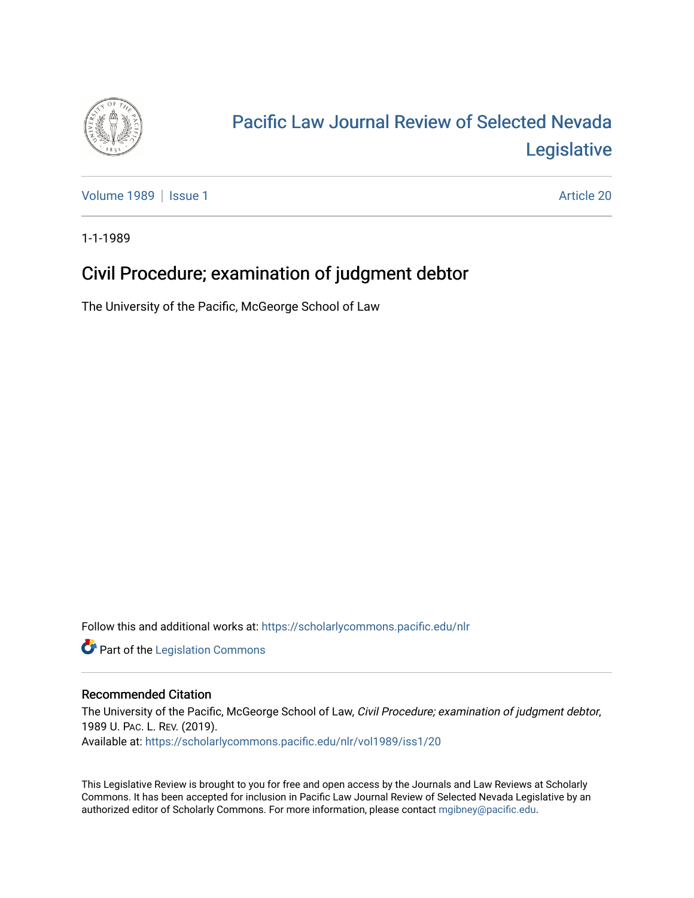

# [Pacific Law Journal Review of Selected Nevada](https://scholarlycommons.pacific.edu/nlr)  [Legislative](https://scholarlycommons.pacific.edu/nlr)

[Volume 1989](https://scholarlycommons.pacific.edu/nlr/vol1989) | [Issue 1](https://scholarlycommons.pacific.edu/nlr/vol1989/iss1) Article 20

1-1-1989

# Civil Procedure; examination of judgment debtor

The University of the Pacific, McGeorge School of Law

Follow this and additional works at: [https://scholarlycommons.pacific.edu/nlr](https://scholarlycommons.pacific.edu/nlr?utm_source=scholarlycommons.pacific.edu%2Fnlr%2Fvol1989%2Fiss1%2F20&utm_medium=PDF&utm_campaign=PDFCoverPages) 

**Part of the [Legislation Commons](http://network.bepress.com/hgg/discipline/859?utm_source=scholarlycommons.pacific.edu%2Fnlr%2Fvol1989%2Fiss1%2F20&utm_medium=PDF&utm_campaign=PDFCoverPages)** 

## Recommended Citation

The University of the Pacific, McGeorge School of Law, Civil Procedure; examination of judgment debtor, 1989 U. PAC. L. REV. (2019). Available at: [https://scholarlycommons.pacific.edu/nlr/vol1989/iss1/20](https://scholarlycommons.pacific.edu/nlr/vol1989/iss1/20?utm_source=scholarlycommons.pacific.edu%2Fnlr%2Fvol1989%2Fiss1%2F20&utm_medium=PDF&utm_campaign=PDFCoverPages)

This Legislative Review is brought to you for free and open access by the Journals and Law Reviews at Scholarly Commons. It has been accepted for inclusion in Pacific Law Journal Review of Selected Nevada Legislative by an authorized editor of Scholarly Commons. For more information, please contact [mgibney@pacific.edu](mailto:mgibney@pacific.edu).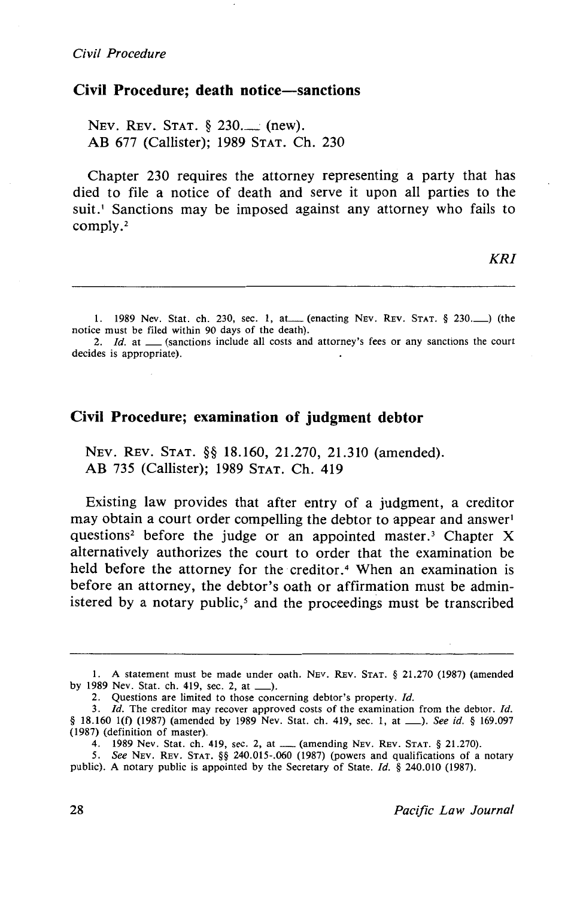#### **Civil Procedure; death notice-sanctions**

NEV. REV. STAT. § 230.\_\_ (new). AB 677 (Callister); 1989 STAT. Ch. 230

Chapter 230 requires the attorney representing a party that has died to file a notice of death and serve it upon all parties to the suit.<sup>1</sup> Sanctions may be imposed against any attorney who fails to comply.<sup>2</sup>

1. 1989 Nev. Stat. ch. 230, sec. 1, at (enacting NEV. REV. STAT. § 230. ) (the notice must be filed within 90 days of the death).

2.  $Id.$  at  $\_\_\$  (sanctions include all costs and attorney's fees or any sanctions the court decides is appropriate).

#### **Civil Procedure; examination of judgment debtor**

NEV. REV. STAT. §§ 18.160, 21.270, 21.310 (amended). AB 735 (Callister); 1989 STAT. Ch. 419

Existing law provides that after entry of a judgment, a creditor may obtain a court order compelling the debtor to appear and answer questions<sup>2</sup> before the judge or an appointed master.<sup>3</sup> Chapter X alternatively authorizes the court to order that the examination be held before the attorney for the creditor.<sup>4</sup> When an examination is before an attorney, the debtor's oath or affirmation must be administered by a notary public,<sup> $5$ </sup> and the proceedings must be transcribed

I. A statement must be made under oath. NEv. REv. STAT. § 21.270 (1987) (amended by 1989 Nev. Stat. ch. 419, sec. 2, at \_).

<sup>2.</sup> Questions are limited to those concerning debtor's property. *Id.* 

<sup>3.</sup> Id. The creditor may recover approved costs of the examination from the debtor. Id. § 18.160 1(f) (1987) (amended by 1989 Nev. Stat. ch. 419, sec. 1, at \_\_\_). *See id.* § 169.097 (1987) (definition of master).

<sup>4. 1989</sup> Nev. Stat. ch. 419, sec. 2, at ...... (amending NEv. REv. STAT. § 21.270).

<sup>5.</sup> *See* NEv. REv. STAT. §§ 240.015-.060 (1987) (powers and qualifications of a notary public). A notary public is appointed by the Secretary of State. *Id.* § 240.010 (1987).